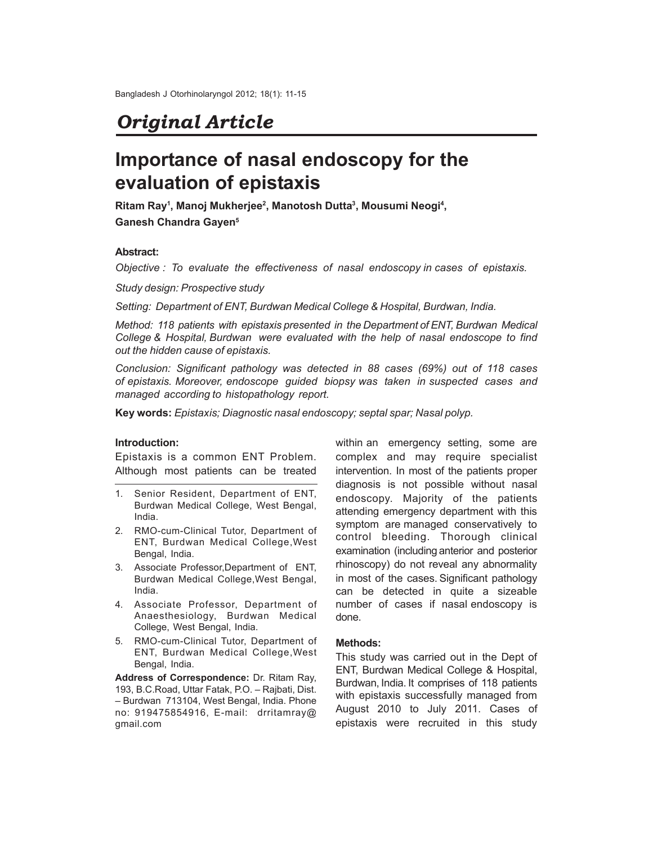# *Original Article*

# **Importance of nasal endoscopy for the evaluation of epistaxis**

**Ritam Ray<sup>1</sup> , Manoj Mukherjee<sup>2</sup> , Manotosh Dutta<sup>3</sup> , Mousumi Neogi<sup>4</sup> , Ganesh Chandra Gayen<sup>5</sup>**

### **Abstract:**

*Objective : To evaluate the effectiveness of nasal endoscopy in cases of epistaxis.*

*Study design: Prospective study*

*Setting: Department of ENT, Burdwan Medical College & Hospital, Burdwan, India.*

*Method: 118 patients with epistaxis presented in the Department of ENT, Burdwan Medical College & Hospital, Burdwan were evaluated with the help of nasal endoscope to find out the hidden cause of epistaxis.*

*Conclusion: Significant pathology was detected in 88 cases (69%) out of 118 cases of epistaxis. Moreover, endoscope guided biopsy was taken in suspected cases and managed according to histopathology report.*

**Key words:** *Epistaxis; Diagnostic nasal endoscopy; septal spar; Nasal polyp.*

#### **Introduction:**

Epistaxis is a common ENT Problem. Although most patients can be treated

- 1. Senior Resident, Department of ENT, Burdwan Medical College, West Bengal, India.
- 2. RMO-cum-Clinical Tutor, Department of ENT, Burdwan Medical College,West Bengal, India.
- 3. Associate Professor,Department of ENT, Burdwan Medical College,West Bengal, India.
- 4. Associate Professor, Department of Anaesthesiology, Burdwan Medical College, West Bengal, India.
- 5. RMO-cum-Clinical Tutor, Department of ENT, Burdwan Medical College,West Bengal, India.

**Address of Correspondence:** Dr. Ritam Ray, 193, B.C.Road, Uttar Fatak, P.O. – Rajbati, Dist. – Burdwan 713104, West Bengal, India. Phone no: 919475854916, E-mail: drritamray@ gmail.com

within an emergency setting, some are complex and may require specialist intervention. In most of the patients proper diagnosis is not possible without nasal endoscopy. Majority of the patients attending emergency department with this symptom are managed conservatively to control bleeding. Thorough clinical examination (including anterior and posterior rhinoscopy) do not reveal any abnormality in most of the cases. Significant pathology can be detected in quite a sizeable number of cases if nasal endoscopy is done.

### **Methods:**

This study was carried out in the Dept of ENT, Burdwan Medical College & Hospital, Burdwan, India. It comprises of 118 patients with epistaxis successfully managed from August 2010 to July 2011. Cases of epistaxis were recruited in this study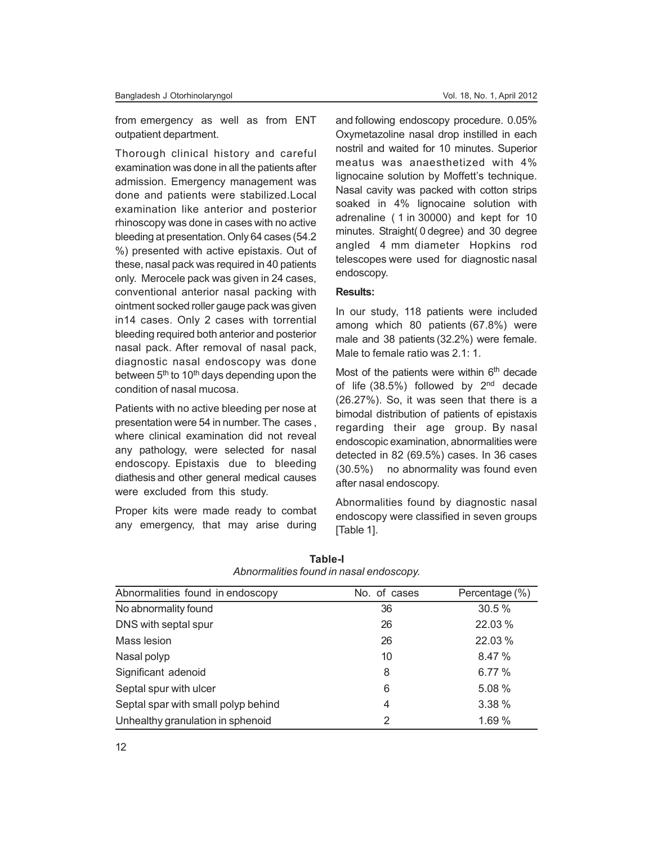from emergency as well as from ENT outpatient department.

Thorough clinical history and careful examination was done in all the patients after admission. Emergency management was done and patients were stabilized.Local examination like anterior and posterior rhinoscopy was done in cases with no active bleeding at presentation. Only 64 cases (54.2 %) presented with active epistaxis. Out of these, nasal pack was required in 40 patients only. Merocele pack was given in 24 cases, conventional anterior nasal packing with ointment socked roller gauge pack was given in14 cases. Only 2 cases with torrential bleeding required both anterior and posterior nasal pack. After removal of nasal pack, diagnostic nasal endoscopy was done between 5<sup>th</sup> to 10<sup>th</sup> days depending upon the condition of nasal mucosa.

Patients with no active bleeding per nose at presentation were 54 in number. The cases , where clinical examination did not reveal any pathology, were selected for nasal endoscopy. Epistaxis due to bleeding diathesis and other general medical causes were excluded from this study.

Proper kits were made ready to combat any emergency, that may arise during

and following endoscopy procedure. 0.05% Oxymetazoline nasal drop instilled in each nostril and waited for 10 minutes. Superior meatus was anaesthetized with 4% lignocaine solution by Moffett's technique. Nasal cavity was packed with cotton strips soaked in 4% lignocaine solution with adrenaline ( 1 in 30000) and kept for 10 minutes. Straight( 0 degree) and 30 degree angled 4 mm diameter Hopkins rod telescopes were used for diagnostic nasal endoscopy.

#### **Results:**

In our study, 118 patients were included among which 80 patients (67.8%) were male and 38 patients (32.2%) were female. Male to female ratio was 2.1: 1.

Most of the patients were within  $6<sup>th</sup>$  decade of life  $(38.5\%)$  followed by  $2<sup>nd</sup>$  decade (26.27%). So, it was seen that there is a bimodal distribution of patients of epistaxis regarding their age group. By nasal endoscopic examination, abnormalities were detected in 82 (69.5%) cases. In 36 cases (30.5%) no abnormality was found even after nasal endoscopy.

Abnormalities found by diagnostic nasal endoscopy were classified in seven groups [Table 1].

| Abnormalities found in endoscopy    | No. of cases | Percentage (%) |
|-------------------------------------|--------------|----------------|
| No abnormality found                | 36           | 30.5%          |
| DNS with septal spur                | 26           | 22.03%         |
| Mass lesion                         | 26           | 22.03%         |
| Nasal polyp                         | 10           | 8.47 %         |
| Significant adenoid                 | 8            | 6.77%          |
| Septal spur with ulcer              | 6            | 5.08 %         |
| Septal spar with small polyp behind | 4            | 3.38 %         |
| Unhealthy granulation in sphenoid   | 2            | 1.69 %         |

**Table-I** *Abnormalities found in nasal endoscopy.*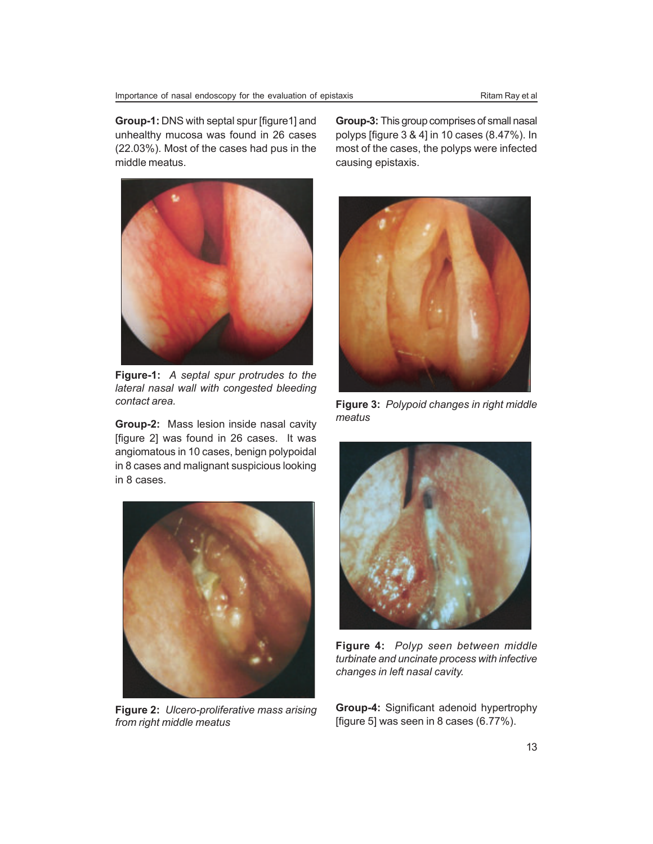**Group-1:** DNS with septal spur [figure1] and unhealthy mucosa was found in 26 cases (22.03%). Most of the cases had pus in the middle meatus.



**Figure-1:** *A septal spur protrudes to the lateral nasal wall with congested bleeding contact area.*

**Group-2:** Mass lesion inside nasal cavity [figure 2] was found in 26 cases. It was angiomatous in 10 cases, benign polypoidal in 8 cases and malignant suspicious looking in 8 cases.



**Figure 2:** *Ulcero-proliferative mass arising from right middle meatus*

**Group-3:** This group comprises of small nasal polyps [figure 3 & 4] in 10 cases (8.47%). In most of the cases, the polyps were infected causing epistaxis.



**Figure 3:** *Polypoid changes in right middle meatus*



**Figure 4:** *Polyp seen between middle turbinate and uncinate process with infective changes in left nasal cavity.*

**Group-4:** Significant adenoid hypertrophy [figure 5] was seen in 8 cases (6.77%).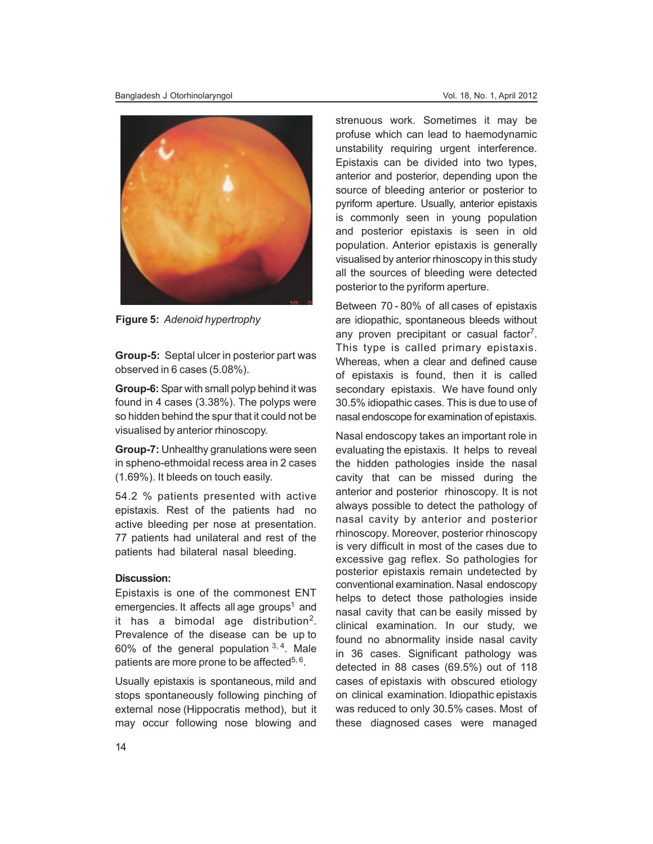

**Figure 5:** *Adenoid hypertrophy*

**Group-5:** Septal ulcer in posterior part was observed in 6 cases (5.08%).

**Group-6:** Spar with small polyp behind it was found in 4 cases (3.38%). The polyps were so hidden behind the spur that it could not be visualised by anterior rhinoscopy.

**Group-7:** Unhealthy granulations were seen in spheno-ethmoidal recess area in 2 cases (1.69%). It bleeds on touch easily.

54.2 % patients presented with active epistaxis. Rest of the patients had no active bleeding per nose at presentation. 77 patients had unilateral and rest of the patients had bilateral nasal bleeding.

### **Discussion:**

Epistaxis is one of the commonest ENT emergencies. It affects all age groups<sup>1</sup> and it has a bimodal age distribution<sup>2</sup>. Prevalence of the disease can be up to 60% of the general population  $3, 4$ . Male patients are more prone to be affected<sup>5, 6</sup>.

Usually epistaxis is spontaneous, mild and stops spontaneously following pinching of external nose (Hippocratis method), but it may occur following nose blowing and strenuous work. Sometimes it may be profuse which can lead to haemodynamic unstability requiring urgent interference. Epistaxis can be divided into two types, anterior and posterior, depending upon the source of bleeding anterior or posterior to pyriform aperture. Usually, anterior epistaxis is commonly seen in young population and posterior epistaxis is seen in old population. Anterior epistaxis is generally visualised by anterior rhinoscopy in this study all the sources of bleeding were detected posterior to the pyriform aperture.

Between 70 - 80% of all cases of epistaxis are idiopathic, spontaneous bleeds without any proven precipitant or casual factor<sup>7</sup>. This type is called primary epistaxis. Whereas, when a clear and defined cause of epistaxis is found, then it is called secondary epistaxis. We have found only 30.5% idiopathic cases. This is due to use of nasal endoscope for examination of epistaxis.

Nasal endoscopy takes an important role in evaluating the epistaxis. It helps to reveal the hidden pathologies inside the nasal cavity that can be missed during the anterior and posterior rhinoscopy. It is not always possible to detect the pathology of nasal cavity by anterior and posterior rhinoscopy. Moreover, posterior rhinoscopy is very difficult in most of the cases due to excessive gag reflex. So pathologies for posterior epistaxis remain undetected by conventional examination. Nasal endoscopy helps to detect those pathologies inside nasal cavity that can be easily missed by clinical examination. In our study, we found no abnormality inside nasal cavity in 36 cases. Significant pathology was detected in 88 cases (69.5%) out of 118 cases of epistaxis with obscured etiology on clinical examination. Idiopathic epistaxis was reduced to only 30.5% cases. Most of these diagnosed cases were managed